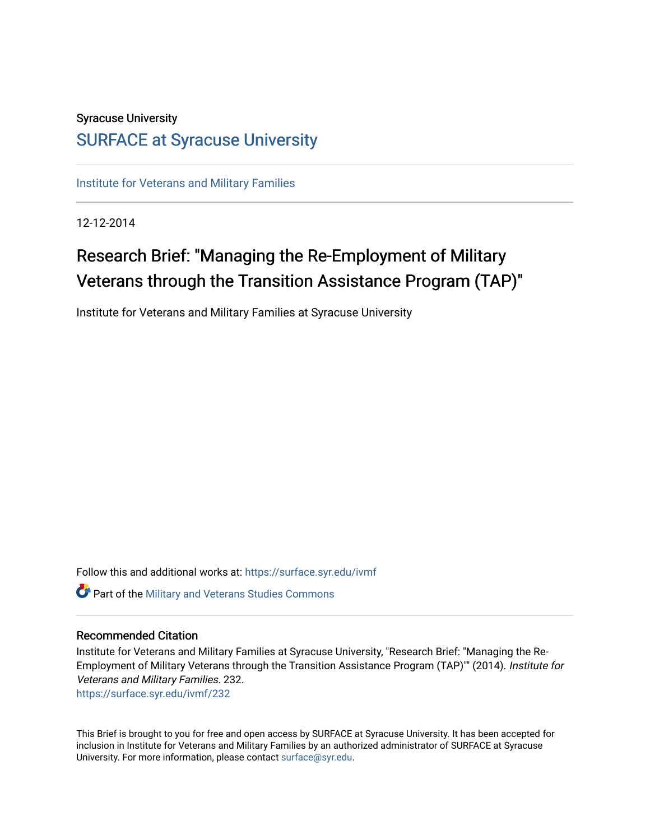### Syracuse University [SURFACE at Syracuse University](https://surface.syr.edu/)

[Institute for Veterans and Military Families](https://surface.syr.edu/ivmf)

12-12-2014

# Research Brief: "Managing the Re-Employment of Military Veterans through the Transition Assistance Program (TAP)"

Institute for Veterans and Military Families at Syracuse University

Follow this and additional works at: [https://surface.syr.edu/ivmf](https://surface.syr.edu/ivmf?utm_source=surface.syr.edu%2Fivmf%2F232&utm_medium=PDF&utm_campaign=PDFCoverPages)  Part of the [Military and Veterans Studies Commons](http://network.bepress.com/hgg/discipline/396?utm_source=surface.syr.edu%2Fivmf%2F232&utm_medium=PDF&utm_campaign=PDFCoverPages)

#### Recommended Citation

Institute for Veterans and Military Families at Syracuse University, "Research Brief: "Managing the Re-Employment of Military Veterans through the Transition Assistance Program (TAP)"" (2014). Institute for Veterans and Military Families. 232. [https://surface.syr.edu/ivmf/232](https://surface.syr.edu/ivmf/232?utm_source=surface.syr.edu%2Fivmf%2F232&utm_medium=PDF&utm_campaign=PDFCoverPages) 

This Brief is brought to you for free and open access by SURFACE at Syracuse University. It has been accepted for inclusion in Institute for Veterans and Military Families by an authorized administrator of SURFACE at Syracuse University. For more information, please contact [surface@syr.edu.](mailto:surface@syr.edu)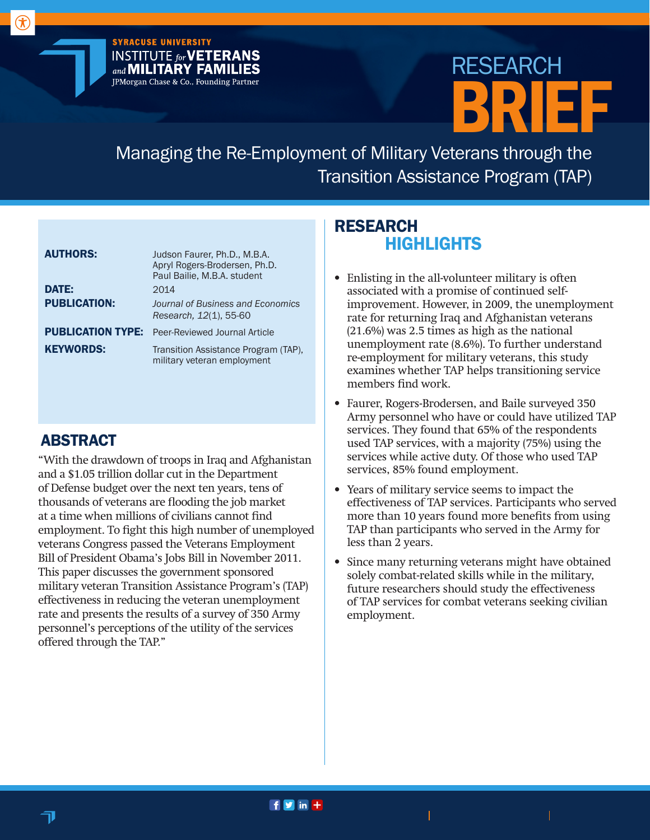**SYRACUSE UNIVERSITY INSTITUTE for VETERANS** and **MILITARY FAMILIES** JPMorgan Chase & Co., Founding Partner

# BRIEF RESEARCH

Managing the Re-Employment of Military Veterans through the Transition Assistance Program (TAP)

| <b>AUTHORS:</b>          | Judson Faurer, Ph.D., M.B.A.<br>Apryl Rogers-Brodersen, Ph.D.<br>Paul Bailie, M.B.A. student |
|--------------------------|----------------------------------------------------------------------------------------------|
| <b>DATE:</b>             | 2014                                                                                         |
| <b>PUBLICATION:</b>      | Journal of Business and Economics<br>Research, 12(1), 55-60                                  |
| <b>PUBLICATION TYPE:</b> | Peer-Reviewed Journal Article                                                                |
| <b>KEYWORDS:</b>         | Transition Assistance Program (TAP),<br>military veteran employment                          |

## ABSTRACT

 $\circledR$ 

"With the drawdown of troops in Iraq and Afghanistan and a \$1.05 trillion dollar cut in the Department of Defense budget over the next ten years, tens of thousands of veterans are flooding the job market at a time when millions of civilians cannot find employment. To fight this high number of unemployed veterans Congress passed the Veterans Employment Bill of President Obama's Jobs Bill in November 2011. This paper discusses the government sponsored military veteran Transition Assistance Program's (TAP) effectiveness in reducing the veteran unemployment rate and presents the results of a survey of 350 Army personnel's perceptions of the utility of the services offered through the TAP."

# RESEARCH **HIGHLIGHTS**

- Enlisting in the all-volunteer military is often associated with a promise of continued selfimprovement. However, in 2009, the unemployment rate for returning Iraq and Afghanistan veterans (21.6%) was 2.5 times as high as the national unemployment rate (8.6%). To further understand re-employment for military veterans, this study examines whether TAP helps transitioning service members find work.
- Faurer, Rogers-Brodersen, and Baile surveyed 350 Army personnel who have or could have utilized TAP services. They found that 65% of the respondents used TAP services, with a majority (75%) using the services while active duty. Of those who used TAP services, 85% found employment.
- Years of military service seems to impact the effectiveness of TAP services. Participants who served more than 10 years found more benefits from using TAP than participants who served in the Army for less than 2 years.
- Since many returning veterans might have obtained solely combat-related skills while in the military, future researchers should study the effectiveness of TAP services for combat veterans seeking civilian employment.